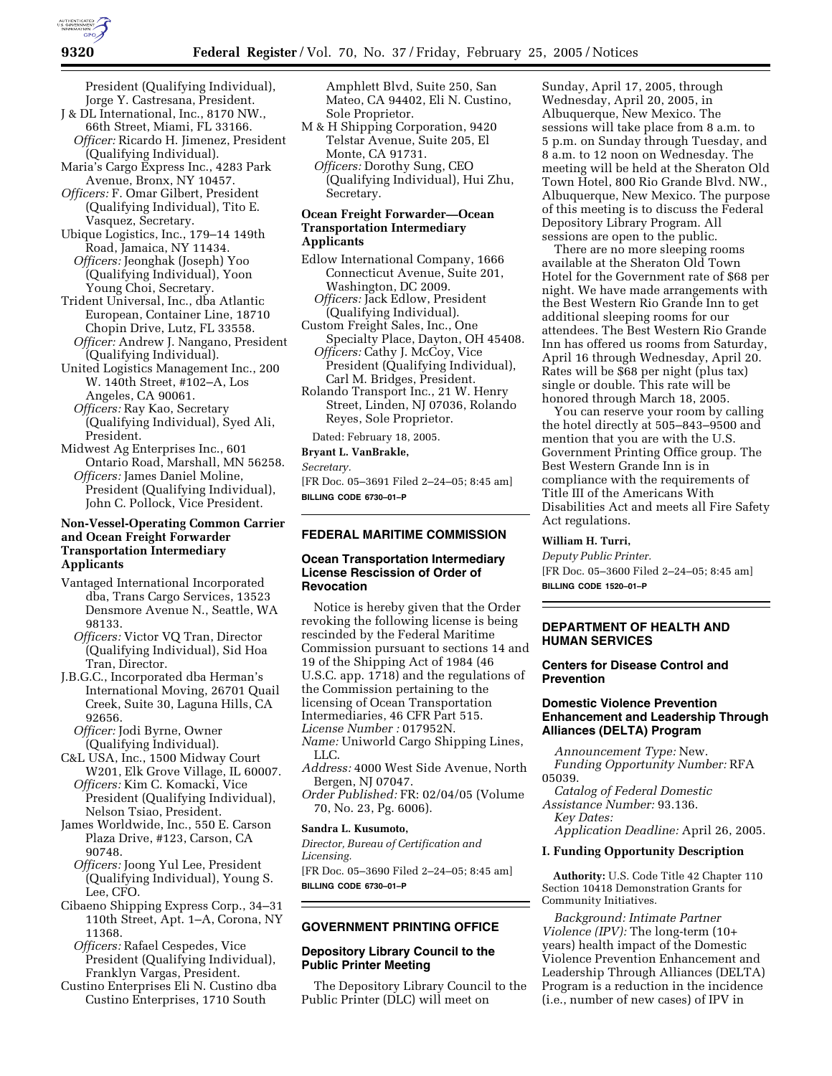President (Qualifying Individual), Jorge Y. Castresana, President.

- J & DL International, Inc., 8170 NW., 66th Street, Miami, FL 33166. *Officer:* Ricardo H. Jimenez, President (Qualifying Individual).
- Maria's Cargo Express Inc., 4283 Park Avenue, Bronx, NY 10457. *Officers:* F. Omar Gilbert, President
- (Qualifying Individual), Tito E. Vasquez, Secretary.

Ubique Logistics, Inc., 179–14 149th Road, Jamaica, NY 11434. *Officers:* Jeonghak (Joseph) Yoo (Qualifying Individual), Yoon

- Young Choi, Secretary. Trident Universal, Inc., dba Atlantic European, Container Line, 18710 Chopin Drive, Lutz, FL 33558.
	- *Officer:* Andrew J. Nangano, President (Qualifying Individual).
- United Logistics Management Inc., 200 W. 140th Street, #102–A, Los Angeles, CA 90061.
	- *Officers:* Ray Kao, Secretary (Qualifying Individual), Syed Ali, President.
- Midwest Ag Enterprises Inc., 601 Ontario Road, Marshall, MN 56258. *Officers:* James Daniel Moline, President (Qualifying Individual), John C. Pollock, Vice President.

# **Non-Vessel-Operating Common Carrier and Ocean Freight Forwarder Transportation Intermediary Applicants**

- Vantaged International Incorporated dba, Trans Cargo Services, 13523 Densmore Avenue N., Seattle, WA 98133.
	- *Officers:* Victor VQ Tran, Director (Qualifying Individual), Sid Hoa Tran, Director.
- J.B.G.C., Incorporated dba Herman's International Moving, 26701 Quail Creek, Suite 30, Laguna Hills, CA 92656.
	- *Officer:* Jodi Byrne, Owner (Qualifying Individual).
- C&L USA, Inc., 1500 Midway Court W201, Elk Grove Village, IL 60007. *Officers:* Kim C. Komacki, Vice
- President (Qualifying Individual), Nelson Tsiao, President.
- James Worldwide, Inc., 550 E. Carson Plaza Drive, #123, Carson, CA 90748.
- *Officers:* Joong Yul Lee, President (Qualifying Individual), Young S. Lee, CFO.
- Cibaeno Shipping Express Corp., 34–31 110th Street, Apt. 1–A, Corona, NY 11368.
	- *Officers:* Rafael Cespedes, Vice President (Qualifying Individual), Franklyn Vargas, President.
- Custino Enterprises Eli N. Custino dba Custino Enterprises, 1710 South

Amphlett Blvd, Suite 250, San Mateo, CA 94402, Eli N. Custino, Sole Proprietor.

- M & H Shipping Corporation, 9420 Telstar Avenue, Suite 205, El Monte, CA 91731.
	- *Officers:* Dorothy Sung, CEO (Qualifying Individual), Hui Zhu, Secretary.

# **Ocean Freight Forwarder—Ocean Transportation Intermediary Applicants**

- Edlow International Company, 1666 Connecticut Avenue, Suite 201, Washington, DC 2009. *Officers:* Jack Edlow, President
	- (Qualifying Individual).
- Custom Freight Sales, Inc., One Specialty Place, Dayton, OH 45408. *Officers:* Cathy J. McCoy, Vice
- President (Qualifying Individual), Carl M. Bridges, President.
- Rolando Transport Inc., 21 W. Henry Street, Linden, NJ 07036, Rolando Reyes, Sole Proprietor.

Dated: February 18, 2005.

**Bryant L. VanBrakle,** 

*Secretary.*

[FR Doc. 05–3691 Filed 2–24–05; 8:45 am] **BILLING CODE 6730–01–P**

# **FEDERAL MARITIME COMMISSION**

# **Ocean Transportation Intermediary License Rescission of Order of Revocation**

Notice is hereby given that the Order revoking the following license is being rescinded by the Federal Maritime Commission pursuant to sections 14 and 19 of the Shipping Act of 1984 (46 U.S.C. app. 1718) and the regulations of the Commission pertaining to the licensing of Ocean Transportation Intermediaries, 46 CFR Part 515. *License Number :* 017952N. *Name:* Uniworld Cargo Shipping Lines, LLC.

*Address:* 4000 West Side Avenue, North Bergen, NJ 07047.

*Order Published:* FR: 02/04/05 (Volume 70, No. 23, Pg. 6006).

## **Sandra L. Kusumoto,**

*Director, Bureau of Certification and Licensing.* [FR Doc. 05–3690 Filed 2–24–05; 8:45 am] **BILLING CODE 6730–01–P**

# **GOVERNMENT PRINTING OFFICE**

# **Depository Library Council to the Public Printer Meeting**

The Depository Library Council to the Public Printer (DLC) will meet on

Sunday, April 17, 2005, through Wednesday, April 20, 2005, in Albuquerque, New Mexico. The sessions will take place from 8 a.m. to 5 p.m. on Sunday through Tuesday, and 8 a.m. to 12 noon on Wednesday. The meeting will be held at the Sheraton Old Town Hotel, 800 Rio Grande Blvd. NW., Albuquerque, New Mexico. The purpose of this meeting is to discuss the Federal Depository Library Program. All sessions are open to the public.

There are no more sleeping rooms available at the Sheraton Old Town Hotel for the Government rate of \$68 per night. We have made arrangements with the Best Western Rio Grande Inn to get additional sleeping rooms for our attendees. The Best Western Rio Grande Inn has offered us rooms from Saturday, April 16 through Wednesday, April 20. Rates will be \$68 per night (plus tax) single or double. This rate will be honored through March 18, 2005.

You can reserve your room by calling the hotel directly at 505–843–9500 and mention that you are with the U.S. Government Printing Office group. The Best Western Grande Inn is in compliance with the requirements of Title III of the Americans With Disabilities Act and meets all Fire Safety Act regulations.

# **William H. Turri,**

*Deputy Public Printer.* [FR Doc. 05–3600 Filed 2–24–05; 8:45 am] **BILLING CODE 1520–01–P**

# **DEPARTMENT OF HEALTH AND HUMAN SERVICES**

# **Centers for Disease Control and Prevention**

# **Domestic Violence Prevention Enhancement and Leadership Through Alliances (DELTA) Program**

*Announcement Type:* New. *Funding Opportunity Number:* RFA 05039.

*Catalog of Federal Domestic Assistance Number:* 93.136. *Key Dates:*

*Application Deadline:* April 26, 2005.

# **I. Funding Opportunity Description**

**Authority:** U.S. Code Title 42 Chapter 110 Section 10418 Demonstration Grants for Community Initiatives.

*Background: Intimate Partner Violence (IPV):* The long-term (10+ years) health impact of the Domestic Violence Prevention Enhancement and Leadership Through Alliances (DELTA) Program is a reduction in the incidence (i.e., number of new cases) of IPV in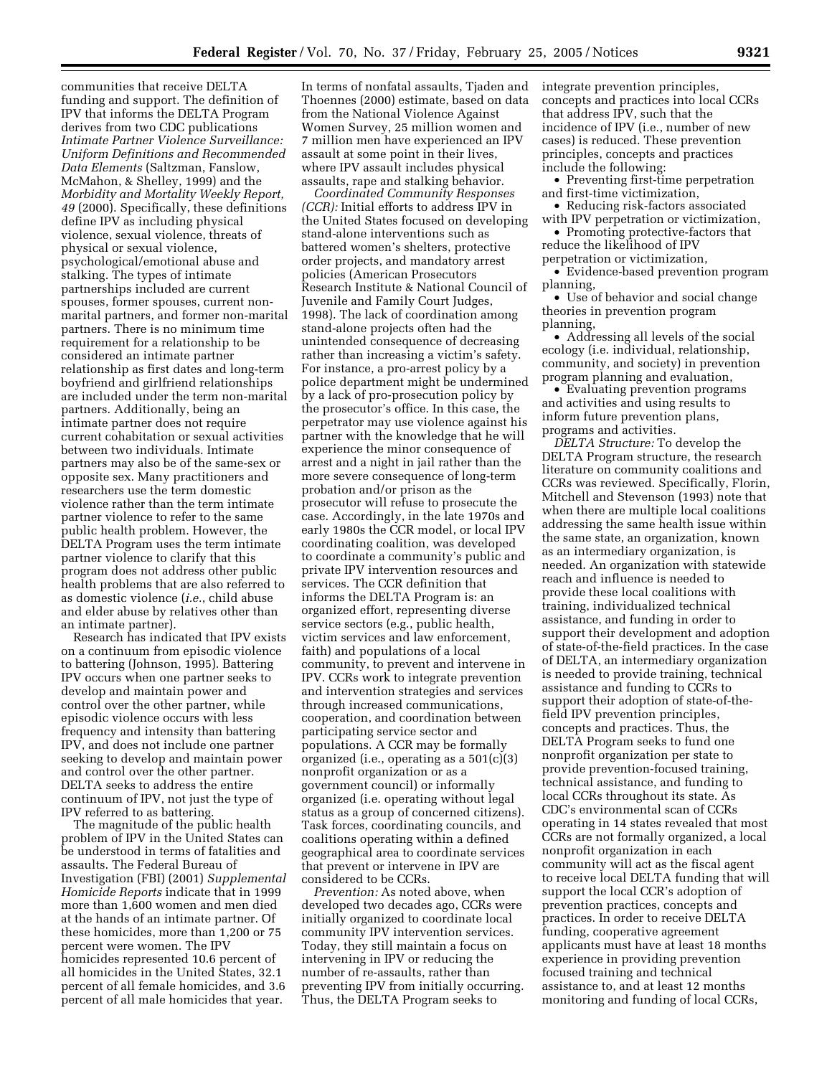communities that receive DELTA funding and support. The definition of IPV that informs the DELTA Program derives from two CDC publications *Intimate Partner Violence Surveillance: Uniform Definitions and Recommended Data Elements* (Saltzman, Fanslow, McMahon, & Shelley, 1999) and the *Morbidity and Mortality Weekly Report, 49* (2000). Specifically, these definitions define IPV as including physical violence, sexual violence, threats of physical or sexual violence, psychological/emotional abuse and stalking. The types of intimate partnerships included are current spouses, former spouses, current nonmarital partners, and former non-marital partners. There is no minimum time requirement for a relationship to be considered an intimate partner relationship as first dates and long-term boyfriend and girlfriend relationships are included under the term non-marital partners. Additionally, being an intimate partner does not require current cohabitation or sexual activities between two individuals. Intimate partners may also be of the same-sex or opposite sex. Many practitioners and researchers use the term domestic violence rather than the term intimate partner violence to refer to the same public health problem. However, the DELTA Program uses the term intimate partner violence to clarify that this program does not address other public health problems that are also referred to as domestic violence (*i.e.*, child abuse and elder abuse by relatives other than an intimate partner).

Research has indicated that IPV exists on a continuum from episodic violence to battering (Johnson, 1995). Battering IPV occurs when one partner seeks to develop and maintain power and control over the other partner, while episodic violence occurs with less frequency and intensity than battering IPV, and does not include one partner seeking to develop and maintain power and control over the other partner. DELTA seeks to address the entire continuum of IPV, not just the type of IPV referred to as battering.

The magnitude of the public health problem of IPV in the United States can be understood in terms of fatalities and assaults. The Federal Bureau of Investigation (FBI) (2001) *Supplemental Homicide Reports* indicate that in 1999 more than 1,600 women and men died at the hands of an intimate partner. Of these homicides, more than 1,200 or 75 percent were women. The IPV homicides represented 10.6 percent of all homicides in the United States, 32.1 percent of all female homicides, and 3.6 percent of all male homicides that year.

In terms of nonfatal assaults, Tjaden and Thoennes (2000) estimate, based on data from the National Violence Against Women Survey, 25 million women and 7 million men have experienced an IPV assault at some point in their lives, where IPV assault includes physical assaults, rape and stalking behavior.

*Coordinated Community Responses (CCR):* Initial efforts to address IPV in the United States focused on developing stand-alone interventions such as battered women's shelters, protective order projects, and mandatory arrest policies (American Prosecutors Research Institute & National Council of Juvenile and Family Court Judges, 1998). The lack of coordination among stand-alone projects often had the unintended consequence of decreasing rather than increasing a victim's safety. For instance, a pro-arrest policy by a police department might be undermined by a lack of pro-prosecution policy by the prosecutor's office. In this case, the perpetrator may use violence against his partner with the knowledge that he will experience the minor consequence of arrest and a night in jail rather than the more severe consequence of long-term probation and/or prison as the prosecutor will refuse to prosecute the case. Accordingly, in the late 1970s and early 1980s the CCR model, or local IPV coordinating coalition, was developed to coordinate a community's public and private IPV intervention resources and services. The CCR definition that informs the DELTA Program is: an organized effort, representing diverse service sectors (e.g., public health, victim services and law enforcement, faith) and populations of a local community, to prevent and intervene in IPV. CCRs work to integrate prevention and intervention strategies and services through increased communications, cooperation, and coordination between participating service sector and populations. A CCR may be formally organized (i.e., operating as a 501(c)(3) nonprofit organization or as a government council) or informally organized (i.e. operating without legal status as a group of concerned citizens). Task forces, coordinating councils, and coalitions operating within a defined geographical area to coordinate services that prevent or intervene in IPV are considered to be CCRs.

*Prevention:* As noted above, when developed two decades ago, CCRs were initially organized to coordinate local community IPV intervention services. Today, they still maintain a focus on intervening in IPV or reducing the number of re-assaults, rather than preventing IPV from initially occurring. Thus, the DELTA Program seeks to

integrate prevention principles, concepts and practices into local CCRs that address IPV, such that the incidence of IPV (i.e., number of new cases) is reduced. These prevention principles, concepts and practices include the following:

• Preventing first-time perpetration and first-time victimization,

• Reducing risk-factors associated with IPV perpetration or victimization,

• Promoting protective-factors that reduce the likelihood of IPV

perpetration or victimization, • Evidence-based prevention program

planning, • Use of behavior and social change

theories in prevention program planning,

• Addressing all levels of the social ecology (i.e. individual, relationship, community, and society) in prevention program planning and evaluation,

• Evaluating prevention programs and activities and using results to inform future prevention plans, programs and activities.

*DELTA Structure:* To develop the DELTA Program structure, the research literature on community coalitions and CCRs was reviewed. Specifically, Florin, Mitchell and Stevenson (1993) note that when there are multiple local coalitions addressing the same health issue within the same state, an organization, known as an intermediary organization, is needed. An organization with statewide reach and influence is needed to provide these local coalitions with training, individualized technical assistance, and funding in order to support their development and adoption of state-of-the-field practices. In the case of DELTA, an intermediary organization is needed to provide training, technical assistance and funding to CCRs to support their adoption of state-of-thefield IPV prevention principles, concepts and practices. Thus, the DELTA Program seeks to fund one nonprofit organization per state to provide prevention-focused training, technical assistance, and funding to local CCRs throughout its state. As CDC's environmental scan of CCRs operating in 14 states revealed that most CCRs are not formally organized, a local nonprofit organization in each community will act as the fiscal agent to receive local DELTA funding that will support the local CCR's adoption of prevention practices, concepts and practices. In order to receive DELTA funding, cooperative agreement applicants must have at least 18 months experience in providing prevention focused training and technical assistance to, and at least 12 months monitoring and funding of local CCRs,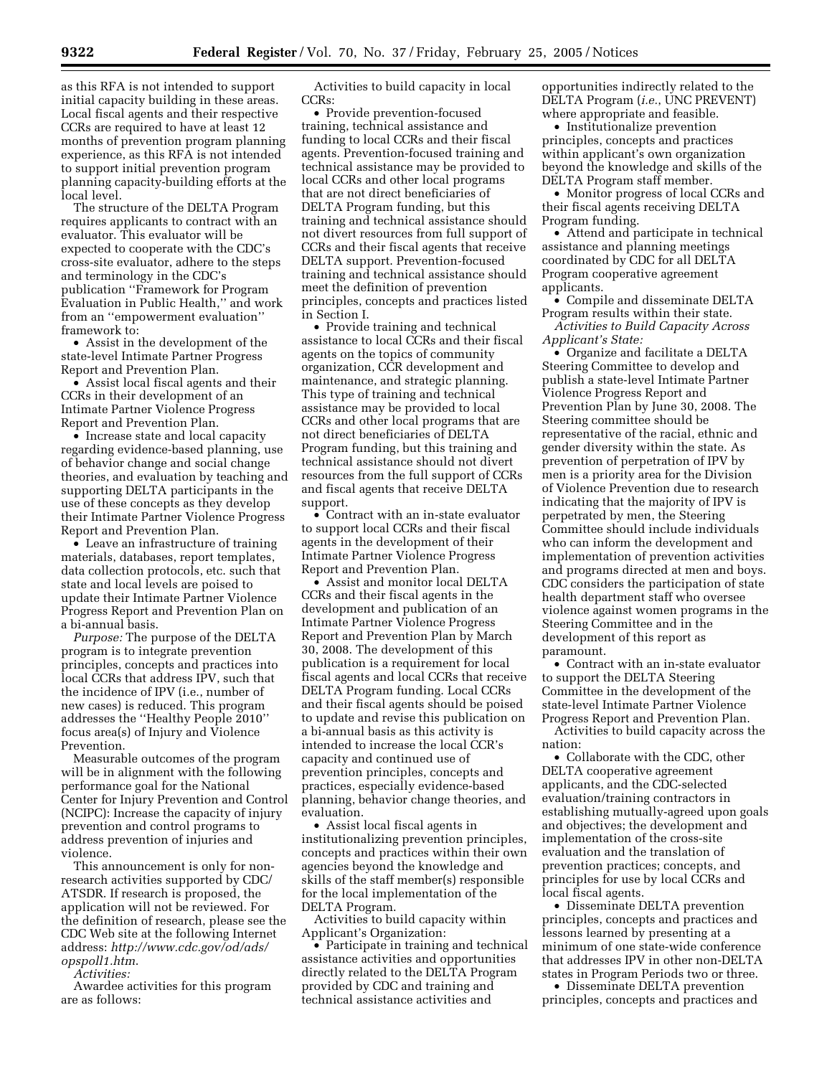as this RFA is not intended to support initial capacity building in these areas. Local fiscal agents and their respective CCRs are required to have at least 12 months of prevention program planning experience, as this RFA is not intended to support initial prevention program planning capacity-building efforts at the local level.

The structure of the DELTA Program requires applicants to contract with an evaluator. This evaluator will be expected to cooperate with the CDC's cross-site evaluator, adhere to the steps and terminology in the CDC's publication ''Framework for Program Evaluation in Public Health,'' and work from an ''empowerment evaluation'' framework to:

• Assist in the development of the state-level Intimate Partner Progress Report and Prevention Plan.

• Assist local fiscal agents and their CCRs in their development of an Intimate Partner Violence Progress Report and Prevention Plan.

• Increase state and local capacity regarding evidence-based planning, use of behavior change and social change theories, and evaluation by teaching and supporting DELTA participants in the use of these concepts as they develop their Intimate Partner Violence Progress Report and Prevention Plan.

• Leave an infrastructure of training materials, databases, report templates, data collection protocols, etc. such that state and local levels are poised to update their Intimate Partner Violence Progress Report and Prevention Plan on a bi-annual basis.

*Purpose:* The purpose of the DELTA program is to integrate prevention principles, concepts and practices into local CCRs that address IPV, such that the incidence of IPV (i.e., number of new cases) is reduced. This program addresses the ''Healthy People 2010'' focus area(s) of Injury and Violence Prevention.

Measurable outcomes of the program will be in alignment with the following performance goal for the National Center for Injury Prevention and Control (NCIPC): Increase the capacity of injury prevention and control programs to address prevention of injuries and violence.

This announcement is only for nonresearch activities supported by CDC/ ATSDR. If research is proposed, the application will not be reviewed. For the definition of research, please see the CDC Web site at the following Internet address: *http://www.cdc.gov/od/ads/ opspoll1.htm*.

*Activities:*

Awardee activities for this program are as follows:

Activities to build capacity in local CCRs:

• Provide prevention-focused training, technical assistance and funding to local CCRs and their fiscal agents. Prevention-focused training and technical assistance may be provided to local CCRs and other local programs that are not direct beneficiaries of DELTA Program funding, but this training and technical assistance should not divert resources from full support of CCRs and their fiscal agents that receive DELTA support. Prevention-focused training and technical assistance should meet the definition of prevention principles, concepts and practices listed in Section I.

• Provide training and technical assistance to local CCRs and their fiscal agents on the topics of community organization, CCR development and maintenance, and strategic planning. This type of training and technical assistance may be provided to local CCRs and other local programs that are not direct beneficiaries of DELTA Program funding, but this training and technical assistance should not divert resources from the full support of CCRs and fiscal agents that receive DELTA support.

• Contract with an in-state evaluator to support local CCRs and their fiscal agents in the development of their Intimate Partner Violence Progress Report and Prevention Plan.

• Assist and monitor local DELTA CCRs and their fiscal agents in the development and publication of an Intimate Partner Violence Progress Report and Prevention Plan by March 30, 2008. The development of this publication is a requirement for local fiscal agents and local CCRs that receive DELTA Program funding. Local CCRs and their fiscal agents should be poised to update and revise this publication on a bi-annual basis as this activity is intended to increase the local CCR's capacity and continued use of prevention principles, concepts and practices, especially evidence-based planning, behavior change theories, and evaluation.

• Assist local fiscal agents in institutionalizing prevention principles, concepts and practices within their own agencies beyond the knowledge and skills of the staff member(s) responsible for the local implementation of the DELTA Program.

Activities to build capacity within Applicant's Organization:

• Participate in training and technical assistance activities and opportunities directly related to the DELTA Program provided by CDC and training and technical assistance activities and

opportunities indirectly related to the DELTA Program (*i.e.*, UNC PREVENT) where appropriate and feasible.

• Institutionalize prevention principles, concepts and practices within applicant's own organization beyond the knowledge and skills of the DELTA Program staff member.

• Monitor progress of local CCRs and their fiscal agents receiving DELTA Program funding.

• Attend and participate in technical assistance and planning meetings coordinated by CDC for all DELTA Program cooperative agreement applicants.

• Compile and disseminate DELTA Program results within their state. *Activities to Build Capacity Across* 

*Applicant's State:*

• Organize and facilitate a DELTA Steering Committee to develop and publish a state-level Intimate Partner Violence Progress Report and Prevention Plan by June 30, 2008. The Steering committee should be representative of the racial, ethnic and gender diversity within the state. As prevention of perpetration of IPV by men is a priority area for the Division of Violence Prevention due to research indicating that the majority of IPV is perpetrated by men, the Steering Committee should include individuals who can inform the development and implementation of prevention activities and programs directed at men and boys. CDC considers the participation of state health department staff who oversee violence against women programs in the Steering Committee and in the development of this report as paramount.

• Contract with an in-state evaluator to support the DELTA Steering Committee in the development of the state-level Intimate Partner Violence Progress Report and Prevention Plan.

Activities to build capacity across the nation:

• Collaborate with the CDC, other DELTA cooperative agreement applicants, and the CDC-selected evaluation/training contractors in establishing mutually-agreed upon goals and objectives; the development and implementation of the cross-site evaluation and the translation of prevention practices; concepts, and principles for use by local CCRs and local fiscal agents.

• Disseminate DELTA prevention principles, concepts and practices and lessons learned by presenting at a minimum of one state-wide conference that addresses IPV in other non-DELTA states in Program Periods two or three.

• Disseminate DELTA prevention principles, concepts and practices and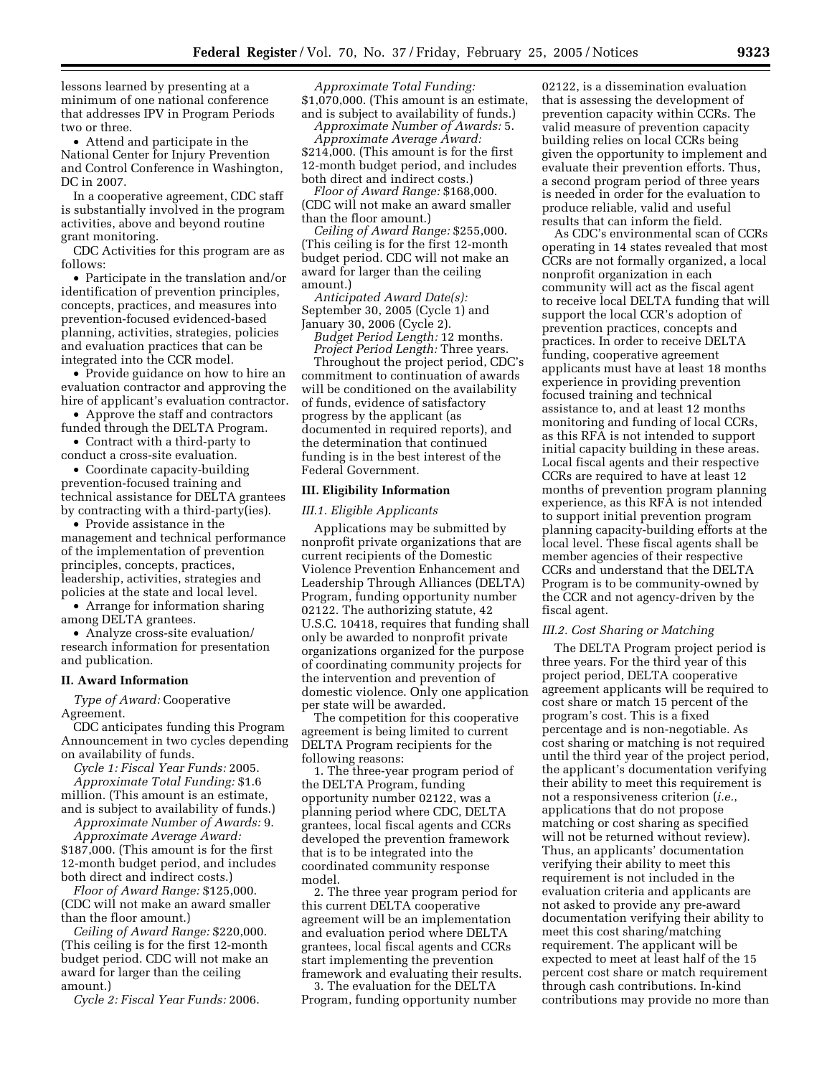lessons learned by presenting at a minimum of one national conference that addresses IPV in Program Periods two or three.

• Attend and participate in the National Center for Injury Prevention and Control Conference in Washington, DC in 2007.

In a cooperative agreement, CDC staff is substantially involved in the program activities, above and beyond routine grant monitoring.

CDC Activities for this program are as follows:

• Participate in the translation and/or identification of prevention principles, concepts, practices, and measures into prevention-focused evidenced-based planning, activities, strategies, policies and evaluation practices that can be integrated into the CCR model.

• Provide guidance on how to hire an evaluation contractor and approving the hire of applicant's evaluation contractor.

• Approve the staff and contractors funded through the DELTA Program.

• Contract with a third-party to conduct a cross-site evaluation.

• Coordinate capacity-building prevention-focused training and technical assistance for DELTA grantees by contracting with a third-party(ies).

• Provide assistance in the management and technical performance of the implementation of prevention principles, concepts, practices, leadership, activities, strategies and policies at the state and local level.

• Arrange for information sharing among DELTA grantees.

• Analyze cross-site evaluation/ research information for presentation and publication.

## **II. Award Information**

*Type of Award:* Cooperative Agreement.

CDC anticipates funding this Program Announcement in two cycles depending on availability of funds.

*Cycle 1: Fiscal Year Funds:* 2005. *Approximate Total Funding:* \$1.6 million. (This amount is an estimate,

and is subject to availability of funds.) *Approximate Number of Awards:* 9.

*Approximate Average Award:* \$187,000. (This amount is for the first 12-month budget period, and includes both direct and indirect costs.)

*Floor of Award Range:* \$125,000. (CDC will not make an award smaller than the floor amount.)

*Ceiling of Award Range:* \$220,000. (This ceiling is for the first 12-month budget period. CDC will not make an award for larger than the ceiling amount.)

*Cycle 2: Fiscal Year Funds:* 2006.

*Approximate Total Funding:* \$1,070,000. (This amount is an estimate, and is subject to availability of funds.)

*Approximate Number of Awards:* 5. *Approximate Average Award:* \$214,000. (This amount is for the first 12-month budget period, and includes both direct and indirect costs.)

*Floor of Award Range:* \$168,000. (CDC will not make an award smaller than the floor amount.)

*Ceiling of Award Range:* \$255,000. (This ceiling is for the first 12-month budget period. CDC will not make an award for larger than the ceiling amount.)

*Anticipated Award Date(s):* September 30, 2005 (Cycle 1) and January 30, 2006 (Cycle 2).

*Budget Period Length:* 12 months. *Project Period Length:* Three years.

Throughout the project period, CDC's commitment to continuation of awards will be conditioned on the availability of funds, evidence of satisfactory progress by the applicant (as documented in required reports), and the determination that continued funding is in the best interest of the Federal Government.

#### **III. Eligibility Information**

#### *III.1. Eligible Applicants*

Applications may be submitted by nonprofit private organizations that are current recipients of the Domestic Violence Prevention Enhancement and Leadership Through Alliances (DELTA) Program, funding opportunity number 02122. The authorizing statute, 42 U.S.C. 10418, requires that funding shall only be awarded to nonprofit private organizations organized for the purpose of coordinating community projects for the intervention and prevention of domestic violence. Only one application per state will be awarded.

The competition for this cooperative agreement is being limited to current DELTA Program recipients for the following reasons:

1. The three-year program period of the DELTA Program, funding opportunity number 02122, was a planning period where CDC, DELTA grantees, local fiscal agents and CCRs developed the prevention framework that is to be integrated into the coordinated community response model.

2. The three year program period for this current DELTA cooperative agreement will be an implementation and evaluation period where DELTA grantees, local fiscal agents and CCRs start implementing the prevention framework and evaluating their results.

3. The evaluation for the DELTA Program, funding opportunity number

02122, is a dissemination evaluation that is assessing the development of prevention capacity within CCRs. The valid measure of prevention capacity building relies on local CCRs being given the opportunity to implement and evaluate their prevention efforts. Thus, a second program period of three years is needed in order for the evaluation to produce reliable, valid and useful results that can inform the field.

As CDC's environmental scan of CCRs operating in 14 states revealed that most CCRs are not formally organized, a local nonprofit organization in each community will act as the fiscal agent to receive local DELTA funding that will support the local CCR's adoption of prevention practices, concepts and practices. In order to receive DELTA funding, cooperative agreement applicants must have at least 18 months experience in providing prevention focused training and technical assistance to, and at least 12 months monitoring and funding of local CCRs, as this RFA is not intended to support initial capacity building in these areas. Local fiscal agents and their respective CCRs are required to have at least 12 months of prevention program planning experience, as this RFA is not intended to support initial prevention program planning capacity-building efforts at the local level. These fiscal agents shall be member agencies of their respective CCRs and understand that the DELTA Program is to be community-owned by the CCR and not agency-driven by the fiscal agent.

#### *III.2. Cost Sharing or Matching*

The DELTA Program project period is three years. For the third year of this project period, DELTA cooperative agreement applicants will be required to cost share or match 15 percent of the program's cost. This is a fixed percentage and is non-negotiable. As cost sharing or matching is not required until the third year of the project period, the applicant's documentation verifying their ability to meet this requirement is not a responsiveness criterion (*i.e.*, applications that do not propose matching or cost sharing as specified will not be returned without review). Thus, an applicants' documentation verifying their ability to meet this requirement is not included in the evaluation criteria and applicants are not asked to provide any pre-award documentation verifying their ability to meet this cost sharing/matching requirement. The applicant will be expected to meet at least half of the 15 percent cost share or match requirement through cash contributions. In-kind contributions may provide no more than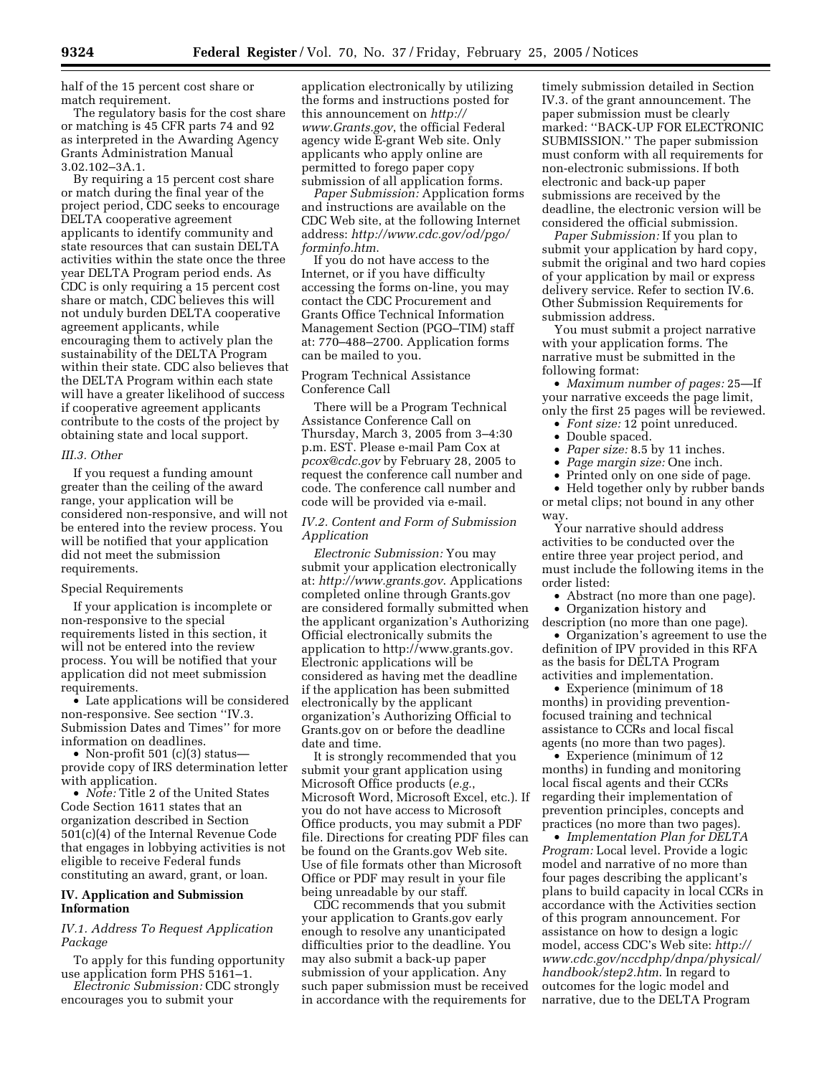half of the 15 percent cost share or match requirement.

The regulatory basis for the cost share or matching is 45 CFR parts 74 and 92 as interpreted in the Awarding Agency Grants Administration Manual 3.02.102–3A.1.

By requiring a 15 percent cost share or match during the final year of the project period, CDC seeks to encourage DELTA cooperative agreement applicants to identify community and state resources that can sustain DELTA activities within the state once the three year DELTA Program period ends. As CDC is only requiring a 15 percent cost share or match, CDC believes this will not unduly burden DELTA cooperative agreement applicants, while encouraging them to actively plan the sustainability of the DELTA Program within their state. CDC also believes that the DELTA Program within each state will have a greater likelihood of success if cooperative agreement applicants contribute to the costs of the project by obtaining state and local support.

#### *III.3. Other*

If you request a funding amount greater than the ceiling of the award range, your application will be considered non-responsive, and will not be entered into the review process. You will be notified that your application did not meet the submission requirements.

#### Special Requirements

If your application is incomplete or non-responsive to the special requirements listed in this section, it will not be entered into the review process. You will be notified that your application did not meet submission requirements.

• Late applications will be considered non-responsive. See section ''IV.3. Submission Dates and Times'' for more information on deadlines.

• Non-profit 501 (c)(3) status provide copy of IRS determination letter with application.

• *Note:* Title 2 of the United States Code Section 1611 states that an organization described in Section 501(c)(4) of the Internal Revenue Code that engages in lobbying activities is not eligible to receive Federal funds constituting an award, grant, or loan.

# **IV. Application and Submission Information**

# *IV.1. Address To Request Application Package*

To apply for this funding opportunity use application form PHS 5161–1.

*Electronic Submission:* CDC strongly encourages you to submit your

application electronically by utilizing the forms and instructions posted for this announcement on *http:// www.Grants.gov*, the official Federal agency wide E-grant Web site. Only applicants who apply online are permitted to forego paper copy submission of all application forms.

*Paper Submission:* Application forms and instructions are available on the CDC Web site, at the following Internet address: *http://www.cdc.gov/od/pgo/ forminfo.htm*.

If you do not have access to the Internet, or if you have difficulty accessing the forms on-line, you may contact the CDC Procurement and Grants Office Technical Information Management Section (PGO–TIM) staff at: 770–488–2700. Application forms can be mailed to you.

## Program Technical Assistance Conference Call

There will be a Program Technical Assistance Conference Call on Thursday, March 3, 2005 from 3–4:30 p.m. EST. Please e-mail Pam Cox at *pcox@cdc.gov* by February 28, 2005 to request the conference call number and code. The conference call number and code will be provided via e-mail.

## *IV.2. Content and Form of Submission Application*

*Electronic Submission:* You may submit your application electronically at: *http://www.grants.gov*. Applications completed online through Grants.gov are considered formally submitted when the applicant organization's Authorizing Official electronically submits the application to http://www.grants.gov. Electronic applications will be considered as having met the deadline if the application has been submitted electronically by the applicant organization's Authorizing Official to Grants.gov on or before the deadline date and time.

It is strongly recommended that you submit your grant application using Microsoft Office products (*e.g.*, Microsoft Word, Microsoft Excel, etc.). If you do not have access to Microsoft Office products, you may submit a PDF file. Directions for creating PDF files can be found on the Grants.gov Web site. Use of file formats other than Microsoft Office or PDF may result in your file being unreadable by our staff.

CDC recommends that you submit your application to Grants.gov early enough to resolve any unanticipated difficulties prior to the deadline. You may also submit a back-up paper submission of your application. Any such paper submission must be received in accordance with the requirements for

timely submission detailed in Section IV.3. of the grant announcement. The paper submission must be clearly marked: ''BACK-UP FOR ELECTRONIC SUBMISSION.'' The paper submission must conform with all requirements for non-electronic submissions. If both electronic and back-up paper submissions are received by the deadline, the electronic version will be considered the official submission.

*Paper Submission:* If you plan to submit your application by hard copy, submit the original and two hard copies of your application by mail or express delivery service. Refer to section IV.6. Other Submission Requirements for submission address.

You must submit a project narrative with your application forms. The narrative must be submitted in the following format:

• *Maximum number of pages:* 25—If your narrative exceeds the page limit, only the first 25 pages will be reviewed.

- *Font size:* 12 point unreduced.
- Double spaced.
- *Paper size:* 8.5 by 11 inches.
- *Page margin size:* One inch.
- Printed only on one side of page.

• Held together only by rubber bands or metal clips; not bound in any other way.

Your narrative should address activities to be conducted over the entire three year project period, and must include the following items in the order listed:

• Abstract (no more than one page).

• Organization history and

description (no more than one page). • Organization's agreement to use the definition of IPV provided in this RFA as the basis for DELTA Program activities and implementation.

• Experience (minimum of 18) months) in providing preventionfocused training and technical assistance to CCRs and local fiscal agents (no more than two pages).

• Experience (minimum of 12 months) in funding and monitoring local fiscal agents and their CCRs regarding their implementation of prevention principles, concepts and practices (no more than two pages).

• *Implementation Plan for DELTA Program:* Local level. Provide a logic model and narrative of no more than four pages describing the applicant's plans to build capacity in local CCRs in accordance with the Activities section of this program announcement. For assistance on how to design a logic model, access CDC's Web site: *http:// www.cdc.gov/nccdphp/dnpa/physical/ handbook/step2.htm*. In regard to outcomes for the logic model and narrative, due to the DELTA Program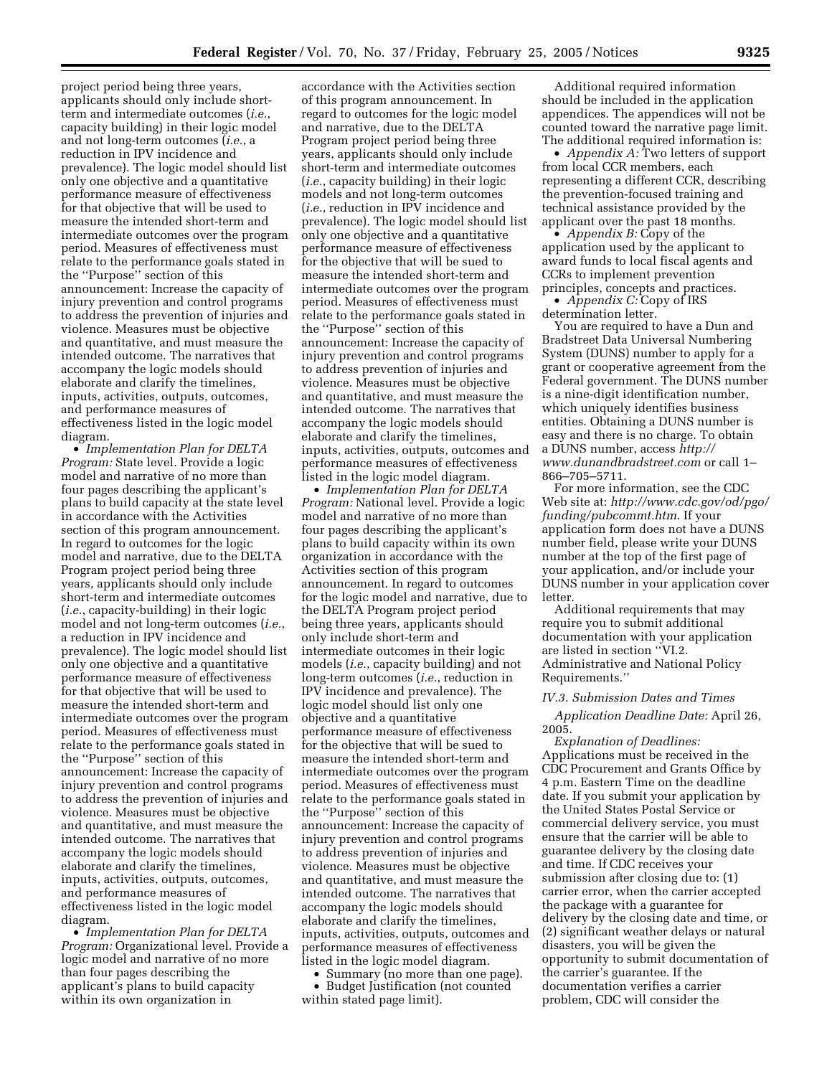project period being three years, applicants should only include shortterm and intermediate outcomes (*i.e.*, capacity building) in their logic model and not long-term outcomes (*i.e.*, a reduction in IPV incidence and prevalence). The logic model should list only one objective and a quantitative performance measure of effectiveness for that objective that will be used to measure the intended short-term and intermediate outcomes over the program period. Measures of effectiveness must relate to the performance goals stated in the ''Purpose'' section of this announcement: Increase the capacity of injury prevention and control programs to address the prevention of injuries and violence. Measures must be objective and quantitative, and must measure the intended outcome. The narratives that accompany the logic models should elaborate and clarify the timelines, inputs, activities, outputs, outcomes, and performance measures of effectiveness listed in the logic model diagram.

• *Implementation Plan for DELTA Program:* State level. Provide a logic model and narrative of no more than four pages describing the applicant's plans to build capacity at the state level in accordance with the Activities section of this program announcement. In regard to outcomes for the logic model and narrative, due to the DELTA Program project period being three years, applicants should only include short-term and intermediate outcomes (*i.e.*, capacity-building) in their logic model and not long-term outcomes (*i.e.*, a reduction in IPV incidence and prevalence). The logic model should list only one objective and a quantitative performance measure of effectiveness for that objective that will be used to measure the intended short-term and intermediate outcomes over the program period. Measures of effectiveness must relate to the performance goals stated in the ''Purpose'' section of this announcement: Increase the capacity of injury prevention and control programs to address the prevention of injuries and violence. Measures must be objective and quantitative, and must measure the intended outcome. The narratives that accompany the logic models should elaborate and clarify the timelines, inputs, activities, outputs, outcomes, and performance measures of effectiveness listed in the logic model diagram.

• *Implementation Plan for DELTA Program:* Organizational level. Provide a logic model and narrative of no more than four pages describing the applicant's plans to build capacity within its own organization in

accordance with the Activities section of this program announcement. In regard to outcomes for the logic model and narrative, due to the DELTA Program project period being three years, applicants should only include short-term and intermediate outcomes (*i.e.*, capacity building) in their logic models and not long-term outcomes (*i.e.*, reduction in IPV incidence and prevalence). The logic model should list only one objective and a quantitative performance measure of effectiveness for the objective that will be sued to measure the intended short-term and intermediate outcomes over the program period. Measures of effectiveness must relate to the performance goals stated in the ''Purpose'' section of this announcement: Increase the capacity of injury prevention and control programs to address prevention of injuries and violence. Measures must be objective and quantitative, and must measure the intended outcome. The narratives that accompany the logic models should elaborate and clarify the timelines, inputs, activities, outputs, outcomes and performance measures of effectiveness listed in the logic model diagram.

• *Implementation Plan for DELTA Program:* National level. Provide a logic model and narrative of no more than four pages describing the applicant's plans to build capacity within its own organization in accordance with the Activities section of this program announcement. In regard to outcomes for the logic model and narrative, due to the DELTA Program project period being three years, applicants should only include short-term and intermediate outcomes in their logic models (*i.e.*, capacity building) and not long-term outcomes (*i.e.*, reduction in IPV incidence and prevalence). The logic model should list only one objective and a quantitative performance measure of effectiveness for the objective that will be sued to measure the intended short-term and intermediate outcomes over the program period. Measures of effectiveness must relate to the performance goals stated in the ''Purpose'' section of this announcement: Increase the capacity of injury prevention and control programs to address prevention of injuries and violence. Measures must be objective and quantitative, and must measure the intended outcome. The narratives that accompany the logic models should elaborate and clarify the timelines, inputs, activities, outputs, outcomes and performance measures of effectiveness listed in the logic model diagram.

• Summary (no more than one page). • Budget Justification (not counted within stated page limit).

Additional required information should be included in the application appendices. The appendices will not be counted toward the narrative page limit. The additional required information is:

• *Appendix A:* Two letters of support from local CCR members, each representing a different CCR, describing the prevention-focused training and technical assistance provided by the applicant over the past 18 months.

• *Appendix B:* Copy of the application used by the applicant to award funds to local fiscal agents and CCRs to implement prevention principles, concepts and practices.

• *Appendix C:* Copy of IRS determination letter.

You are required to have a Dun and Bradstreet Data Universal Numbering System (DUNS) number to apply for a grant or cooperative agreement from the Federal government. The DUNS number is a nine-digit identification number, which uniquely identifies business entities. Obtaining a DUNS number is easy and there is no charge. To obtain a DUNS number, access *http:// www.dunandbradstreet.com* or call 1– 866–705–5711.

For more information, see the CDC Web site at: *http://www.cdc.gov/od/pgo/ funding/pubcommt.htm*. If your application form does not have a DUNS number field, please write your DUNS number at the top of the first page of your application, and/or include your DUNS number in your application cover letter.

Additional requirements that may require you to submit additional documentation with your application are listed in section ''VI.2. Administrative and National Policy Requirements.''

## *IV.3. Submission Dates and Times*

*Application Deadline Date:* April 26, 2005.

*Explanation of Deadlines:* Applications must be received in the CDC Procurement and Grants Office by 4 p.m. Eastern Time on the deadline date. If you submit your application by the United States Postal Service or commercial delivery service, you must ensure that the carrier will be able to guarantee delivery by the closing date and time. If CDC receives your submission after closing due to: (1) carrier error, when the carrier accepted the package with a guarantee for delivery by the closing date and time, or (2) significant weather delays or natural disasters, you will be given the opportunity to submit documentation of the carrier's guarantee. If the documentation verifies a carrier problem, CDC will consider the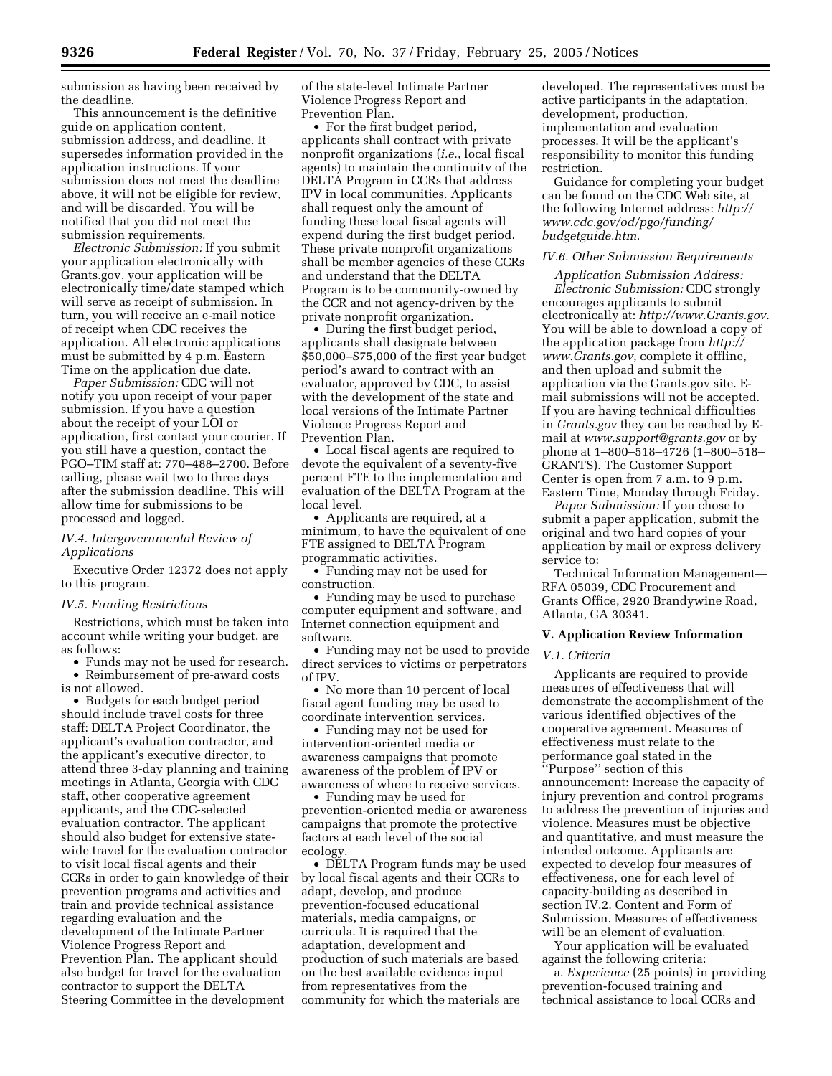submission as having been received by the deadline.

This announcement is the definitive guide on application content, submission address, and deadline. It supersedes information provided in the application instructions. If your submission does not meet the deadline above, it will not be eligible for review, and will be discarded. You will be notified that you did not meet the submission requirements.

*Electronic Submission:* If you submit your application electronically with Grants.gov, your application will be electronically time/date stamped which will serve as receipt of submission. In turn, you will receive an e-mail notice of receipt when CDC receives the application. All electronic applications must be submitted by 4 p.m. Eastern Time on the application due date.

*Paper Submission:* CDC will not notify you upon receipt of your paper submission. If you have a question about the receipt of your LOI or application, first contact your courier. If you still have a question, contact the PGO–TIM staff at: 770–488–2700. Before calling, please wait two to three days after the submission deadline. This will allow time for submissions to be processed and logged.

## *IV.4. Intergovernmental Review of Applications*

Executive Order 12372 does not apply to this program.

#### *IV.5. Funding Restrictions*

Restrictions, which must be taken into account while writing your budget, are as follows:

• Funds may not be used for research. • Reimbursement of pre-award costs is not allowed.

• Budgets for each budget period should include travel costs for three staff: DELTA Project Coordinator, the applicant's evaluation contractor, and the applicant's executive director, to attend three 3-day planning and training meetings in Atlanta, Georgia with CDC staff, other cooperative agreement applicants, and the CDC-selected evaluation contractor. The applicant should also budget for extensive statewide travel for the evaluation contractor to visit local fiscal agents and their CCRs in order to gain knowledge of their prevention programs and activities and train and provide technical assistance regarding evaluation and the development of the Intimate Partner Violence Progress Report and Prevention Plan. The applicant should also budget for travel for the evaluation contractor to support the DELTA Steering Committee in the development

of the state-level Intimate Partner Violence Progress Report and Prevention Plan.

• For the first budget period, applicants shall contract with private nonprofit organizations (*i.e.*, local fiscal agents) to maintain the continuity of the DELTA Program in CCRs that address IPV in local communities. Applicants shall request only the amount of funding these local fiscal agents will expend during the first budget period. These private nonprofit organizations shall be member agencies of these CCRs and understand that the DELTA Program is to be community-owned by the CCR and not agency-driven by the private nonprofit organization.

• During the first budget period, applicants shall designate between \$50,000–\$75,000 of the first year budget period's award to contract with an evaluator, approved by CDC, to assist with the development of the state and local versions of the Intimate Partner Violence Progress Report and Prevention Plan.

• Local fiscal agents are required to devote the equivalent of a seventy-five percent FTE to the implementation and evaluation of the DELTA Program at the local level.

• Applicants are required, at a minimum, to have the equivalent of one FTE assigned to DELTA Program programmatic activities.

• Funding may not be used for construction.

• Funding may be used to purchase computer equipment and software, and Internet connection equipment and software.

• Funding may not be used to provide direct services to victims or perpetrators of IPV.

• No more than 10 percent of local fiscal agent funding may be used to coordinate intervention services.

• Funding may not be used for intervention-oriented media or awareness campaigns that promote awareness of the problem of IPV or awareness of where to receive services.

• Funding may be used for prevention-oriented media or awareness campaigns that promote the protective factors at each level of the social ecology.

• DELTA Program funds may be used by local fiscal agents and their CCRs to adapt, develop, and produce prevention-focused educational materials, media campaigns, or curricula. It is required that the adaptation, development and production of such materials are based on the best available evidence input from representatives from the community for which the materials are

developed. The representatives must be active participants in the adaptation, development, production, implementation and evaluation processes. It will be the applicant's responsibility to monitor this funding restriction.

Guidance for completing your budget can be found on the CDC Web site, at the following Internet address: *http:// www.cdc.gov/od/pgo/funding/ budgetguide.htm*.

#### *IV.6. Other Submission Requirements*

*Application Submission Address: Electronic Submission:* CDC strongly encourages applicants to submit electronically at: *http://www.Grants.gov*. You will be able to download a copy of the application package from *http:// www.Grants.gov*, complete it offline, and then upload and submit the application via the Grants.gov site. Email submissions will not be accepted. If you are having technical difficulties in *Grants.gov* they can be reached by Email at *www.support@grants.gov* or by phone at 1–800–518–4726 (1–800–518– GRANTS). The Customer Support Center is open from 7 a.m. to 9 p.m. Eastern Time, Monday through Friday.

*Paper Submission:* If you chose to submit a paper application, submit the original and two hard copies of your application by mail or express delivery service to:

Technical Information Management— RFA 05039, CDC Procurement and Grants Office, 2920 Brandywine Road, Atlanta, GA 30341.

## **V. Application Review Information**

#### *V.1. Criteria*

Applicants are required to provide measures of effectiveness that will demonstrate the accomplishment of the various identified objectives of the cooperative agreement. Measures of effectiveness must relate to the performance goal stated in the ''Purpose'' section of this announcement: Increase the capacity of injury prevention and control programs to address the prevention of injuries and violence. Measures must be objective and quantitative, and must measure the intended outcome. Applicants are expected to develop four measures of effectiveness, one for each level of capacity-building as described in section IV.2. Content and Form of Submission. Measures of effectiveness will be an element of evaluation.

Your application will be evaluated against the following criteria:

a. *Experience* (25 points) in providing prevention-focused training and technical assistance to local CCRs and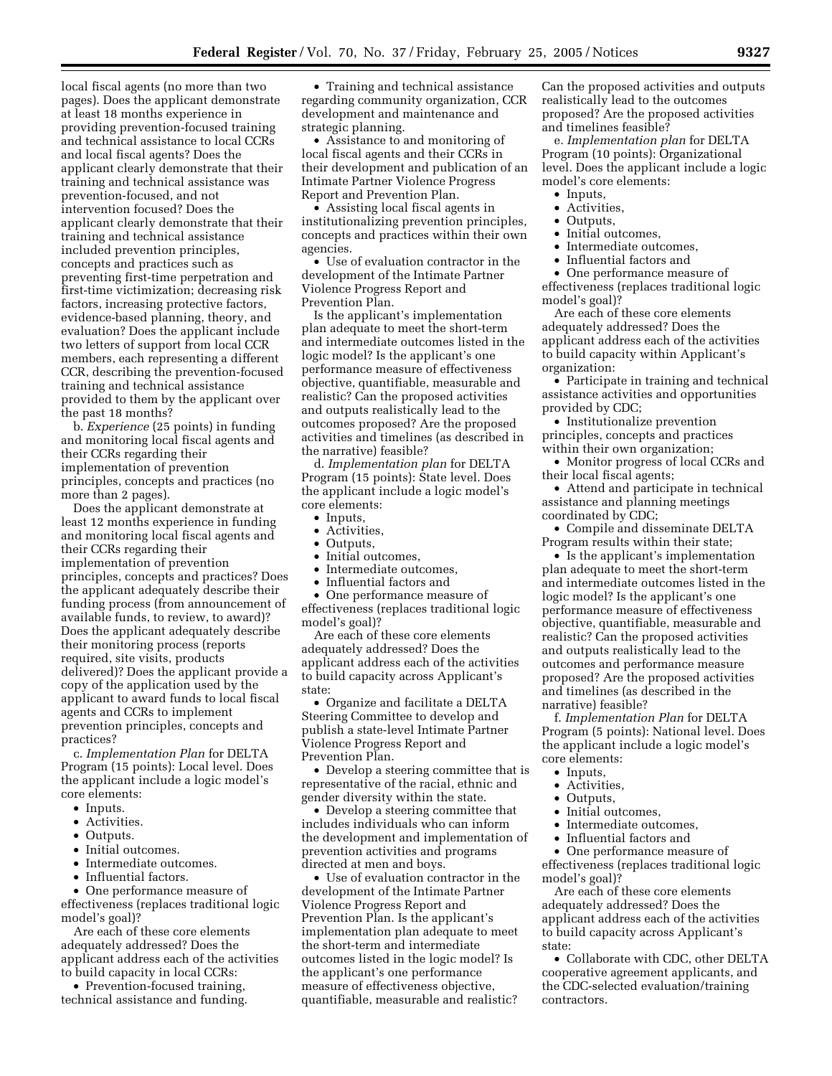local fiscal agents (no more than two pages). Does the applicant demonstrate at least 18 months experience in providing prevention-focused training and technical assistance to local CCRs and local fiscal agents? Does the applicant clearly demonstrate that their training and technical assistance was prevention-focused, and not intervention focused? Does the applicant clearly demonstrate that their training and technical assistance included prevention principles, concepts and practices such as preventing first-time perpetration and first-time victimization; decreasing risk factors, increasing protective factors, evidence-based planning, theory, and evaluation? Does the applicant include two letters of support from local CCR members, each representing a different CCR, describing the prevention-focused training and technical assistance provided to them by the applicant over the past 18 months?

b. *Experience* (25 points) in funding and monitoring local fiscal agents and their CCRs regarding their implementation of prevention principles, concepts and practices (no more than 2 pages).

Does the applicant demonstrate at least 12 months experience in funding and monitoring local fiscal agents and their CCRs regarding their implementation of prevention principles, concepts and practices? Does the applicant adequately describe their funding process (from announcement of available funds, to review, to award)? Does the applicant adequately describe their monitoring process (reports required, site visits, products delivered)? Does the applicant provide a copy of the application used by the applicant to award funds to local fiscal agents and CCRs to implement prevention principles, concepts and practices?

c. *Implementation Plan* for DELTA Program (15 points): Local level. Does the applicant include a logic model's core elements:

- Inputs.
- Activities.
- Outputs.
- Initial outcomes.
- Intermediate outcomes.
- Influential factors.

• One performance measure of effectiveness (replaces traditional logic model's goal)?

Are each of these core elements adequately addressed? Does the applicant address each of the activities to build capacity in local CCRs:

• Prevention-focused training, technical assistance and funding.

• Training and technical assistance regarding community organization, CCR development and maintenance and strategic planning.

• Assistance to and monitoring of local fiscal agents and their CCRs in their development and publication of an Intimate Partner Violence Progress Report and Prevention Plan.

• Assisting local fiscal agents in institutionalizing prevention principles, concepts and practices within their own agencies.

• Use of evaluation contractor in the development of the Intimate Partner Violence Progress Report and Prevention Plan.

Is the applicant's implementation plan adequate to meet the short-term and intermediate outcomes listed in the logic model? Is the applicant's one performance measure of effectiveness objective, quantifiable, measurable and realistic? Can the proposed activities and outputs realistically lead to the outcomes proposed? Are the proposed activities and timelines (as described in the narrative) feasible?

d. *Implementation plan* for DELTA Program (15 points): State level. Does the applicant include a logic model's core elements:

- Inputs,
- Activities,
- Outputs,
- Initial outcomes,
- Intermediate outcomes,
- Influential factors and

• One performance measure of effectiveness (replaces traditional logic model's goal)?

Are each of these core elements adequately addressed? Does the applicant address each of the activities to build capacity across Applicant's state:

• Organize and facilitate a DELTA Steering Committee to develop and publish a state-level Intimate Partner Violence Progress Report and Prevention Plan.

• Develop a steering committee that is representative of the racial, ethnic and gender diversity within the state.

• Develop a steering committee that includes individuals who can inform the development and implementation of prevention activities and programs directed at men and boys.

• Use of evaluation contractor in the development of the Intimate Partner Violence Progress Report and Prevention Plan. Is the applicant's implementation plan adequate to meet the short-term and intermediate outcomes listed in the logic model? Is the applicant's one performance measure of effectiveness objective, quantifiable, measurable and realistic?

Can the proposed activities and outputs realistically lead to the outcomes proposed? Are the proposed activities and timelines feasible?

e. *Implementation plan* for DELTA Program (10 points): Organizational level. Does the applicant include a logic model's core elements:

- Inputs,
- Activities,
- Outputs,
- Initial outcomes,
- Intermediate outcomes,
- Influential factors and

• One performance measure of effectiveness (replaces traditional logic model's goal)?

Are each of these core elements adequately addressed? Does the applicant address each of the activities to build capacity within Applicant's organization:

• Participate in training and technical assistance activities and opportunities provided by CDC;

• Institutionalize prevention principles, concepts and practices within their own organization;

• Monitor progress of local CCRs and their local fiscal agents;

• Attend and participate in technical assistance and planning meetings coordinated by CDC;

• Compile and disseminate DELTA Program results within their state;

• Is the applicant's implementation plan adequate to meet the short-term and intermediate outcomes listed in the logic model? Is the applicant's one performance measure of effectiveness objective, quantifiable, measurable and realistic? Can the proposed activities and outputs realistically lead to the outcomes and performance measure proposed? Are the proposed activities and timelines (as described in the narrative) feasible?

f. *Implementation Plan* for DELTA Program (5 points): National level. Does the applicant include a logic model's core elements:

- Inputs,
- Activities,
- Outputs,
- Initial outcomes,
- Intermediate outcomes,
- Influential factors and
- One performance measure of

effectiveness (replaces traditional logic model's goal)?

Are each of these core elements adequately addressed? Does the applicant address each of the activities to build capacity across Applicant's state:

• Collaborate with CDC, other DELTA cooperative agreement applicants, and the CDC-selected evaluation/training contractors.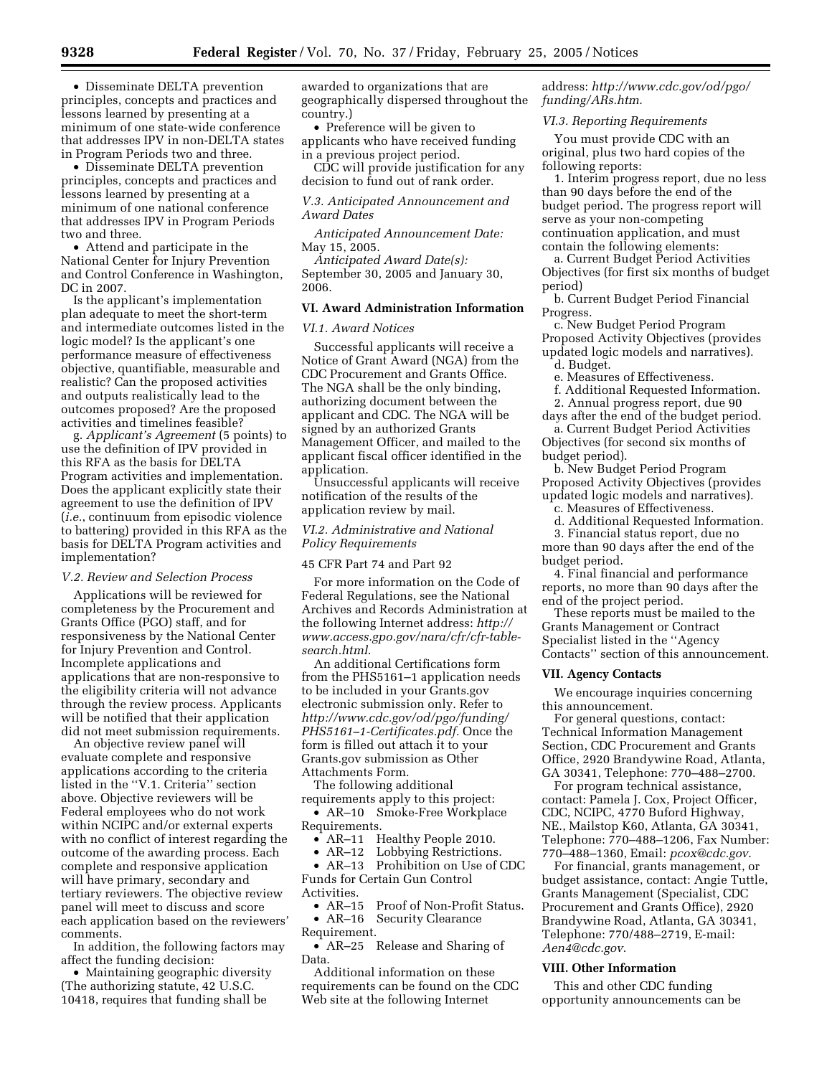• Disseminate DELTA prevention principles, concepts and practices and lessons learned by presenting at a minimum of one state-wide conference that addresses IPV in non-DELTA states in Program Periods two and three.

• Disseminate DELTA prevention principles, concepts and practices and lessons learned by presenting at a minimum of one national conference that addresses IPV in Program Periods two and three.

• Attend and participate in the National Center for Injury Prevention and Control Conference in Washington, DC in 2007.

Is the applicant's implementation plan adequate to meet the short-term and intermediate outcomes listed in the logic model? Is the applicant's one performance measure of effectiveness objective, quantifiable, measurable and realistic? Can the proposed activities and outputs realistically lead to the outcomes proposed? Are the proposed activities and timelines feasible?

g. *Applicant's Agreement* (5 points) to use the definition of IPV provided in this RFA as the basis for DELTA Program activities and implementation. Does the applicant explicitly state their agreement to use the definition of IPV (*i.e.*, continuum from episodic violence to battering) provided in this RFA as the basis for DELTA Program activities and implementation?

#### *V.2. Review and Selection Process*

Applications will be reviewed for completeness by the Procurement and Grants Office (PGO) staff, and for responsiveness by the National Center for Injury Prevention and Control. Incomplete applications and applications that are non-responsive to the eligibility criteria will not advance through the review process. Applicants will be notified that their application did not meet submission requirements.

An objective review panel will evaluate complete and responsive applications according to the criteria listed in the ''V.1. Criteria'' section above. Objective reviewers will be Federal employees who do not work within NCIPC and/or external experts with no conflict of interest regarding the outcome of the awarding process. Each complete and responsive application will have primary, secondary and tertiary reviewers. The objective review panel will meet to discuss and score each application based on the reviewers' comments.

In addition, the following factors may affect the funding decision:

• Maintaining geographic diversity (The authorizing statute, 42 U.S.C. 10418, requires that funding shall be

awarded to organizations that are geographically dispersed throughout the country.)

• Preference will be given to applicants who have received funding in a previous project period.

CDC will provide justification for any decision to fund out of rank order.

*V.3. Anticipated Announcement and Award Dates* 

*Anticipated Announcement Date:* May 15, 2005.

*Anticipated Award Date(s):* September 30, 2005 and January 30, 2006.

### **VI. Award Administration Information**

*VI.1. Award Notices* 

Successful applicants will receive a Notice of Grant Award (NGA) from the CDC Procurement and Grants Office. The NGA shall be the only binding, authorizing document between the applicant and CDC. The NGA will be signed by an authorized Grants Management Officer, and mailed to the applicant fiscal officer identified in the application.

Unsuccessful applicants will receive notification of the results of the application review by mail.

# *VI.2. Administrative and National Policy Requirements*

45 CFR Part 74 and Part 92

For more information on the Code of Federal Regulations, see the National Archives and Records Administration at the following Internet address: *http:// www.access.gpo.gov/nara/cfr/cfr-tablesearch.html*.

An additional Certifications form from the PHS5161–1 application needs to be included in your Grants.gov electronic submission only. Refer to *http://www.cdc.gov/od/pgo/funding/ PHS5161–1-Certificates.pdf.* Once the form is filled out attach it to your Grants.gov submission as Other Attachments Form.

The following additional requirements apply to this project:

• AR–10 Smoke-Free Workplace Requirements.

• AR–11 Healthy People 2010.

• AR–12 Lobbying Restrictions.

• AR–13 Prohibition on Use of CDC Funds for Certain Gun Control Activities.

• AR–15 Proof of Non-Profit Status. • AR–16 Security Clearance Requirement.

• AR–25 Release and Sharing of Data.

Additional information on these requirements can be found on the CDC Web site at the following Internet

address: *http://www.cdc.gov/od/pgo/ funding/ARs.htm*.

#### *VI.3. Reporting Requirements*

You must provide CDC with an original, plus two hard copies of the following reports:

1. Interim progress report, due no less than 90 days before the end of the budget period. The progress report will serve as your non-competing continuation application, and must contain the following elements:

a. Current Budget Period Activities Objectives (for first six months of budget period)

b. Current Budget Period Financial Progress.

c. New Budget Period Program Proposed Activity Objectives (provides updated logic models and narratives). d. Budget.

e. Measures of Effectiveness.

f. Additional Requested Information.

2. Annual progress report, due 90

days after the end of the budget period. a. Current Budget Period Activities

Objectives (for second six months of budget period).

b. New Budget Period Program Proposed Activity Objectives (provides updated logic models and narratives).

c. Measures of Effectiveness.

d. Additional Requested Information.

3. Financial status report, due no more than 90 days after the end of the budget period.

4. Final financial and performance reports, no more than 90 days after the end of the project period.

These reports must be mailed to the Grants Management or Contract Specialist listed in the ''Agency Contacts'' section of this announcement.

## **VII. Agency Contacts**

We encourage inquiries concerning this announcement.

For general questions, contact: Technical Information Management Section, CDC Procurement and Grants Office, 2920 Brandywine Road, Atlanta, GA 30341, Telephone: 770–488–2700.

For program technical assistance, contact: Pamela J. Cox, Project Officer, CDC, NCIPC, 4770 Buford Highway, NE., Mailstop K60, Atlanta, GA 30341, Telephone: 770–488–1206, Fax Number: 770–488–1360, Email: *pcox@cdc.gov*.

For financial, grants management, or budget assistance, contact: Angie Tuttle, Grants Management (Specialist, CDC Procurement and Grants Office), 2920 Brandywine Road, Atlanta, GA 30341, Telephone: 770/488–2719, E-mail: *Aen4@cdc.gov*.

## **VIII. Other Information**

This and other CDC funding opportunity announcements can be